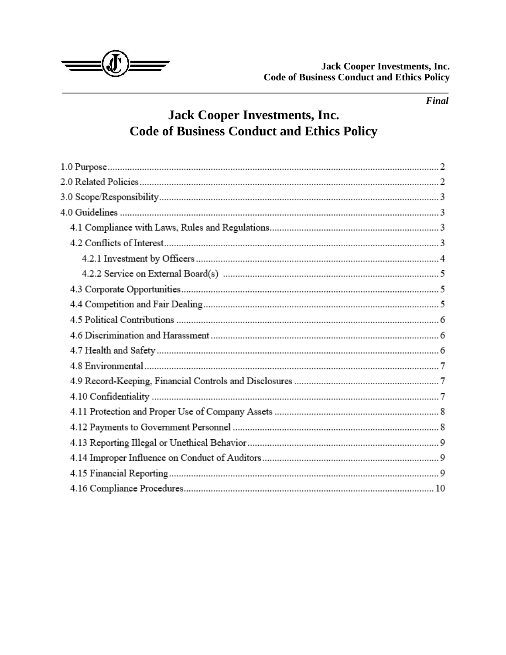

#### *Final*

# **Jack Cooper Investments, Inc. Code of Business Conduct and Ethics Policy**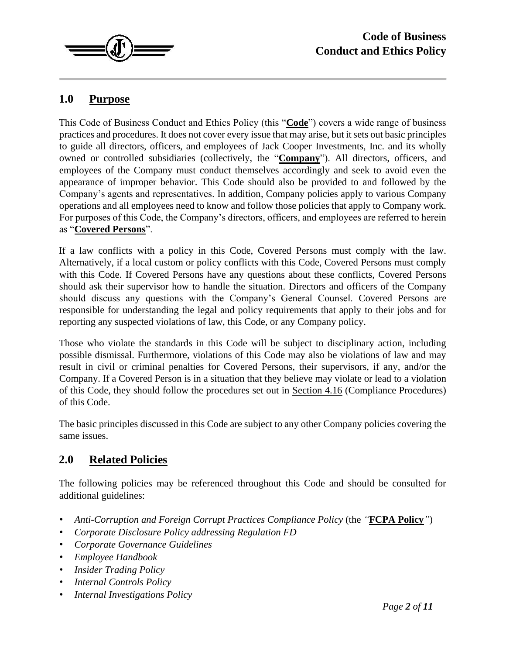

# **1.0 Purpose**

This Code of Business Conduct and Ethics Policy (this "**Code**") covers a wide range of business practices and procedures. It does not cover every issue that may arise, but it sets out basic principles to guide all directors, officers, and employees of Jack Cooper Investments, Inc. and its wholly owned or controlled subsidiaries (collectively, the "**Company**"). All directors, officers, and employees of the Company must conduct themselves accordingly and seek to avoid even the appearance of improper behavior. This Code should also be provided to and followed by the Company's agents and representatives. In addition, Company policies apply to various Company operations and all employees need to know and follow those policies that apply to Company work. For purposes of this Code, the Company's directors, officers, and employees are referred to herein as "**Covered Persons**".

If a law conflicts with a policy in this Code, Covered Persons must comply with the law. Alternatively, if a local custom or policy conflicts with this Code, Covered Persons must comply with this Code. If Covered Persons have any questions about these conflicts, Covered Persons should ask their supervisor how to handle the situation. Directors and officers of the Company should discuss any questions with the Company's General Counsel. Covered Persons are responsible for understanding the legal and policy requirements that apply to their jobs and for reporting any suspected violations of law, this Code, or any Company policy.

Those who violate the standards in this Code will be subject to disciplinary action, including possible dismissal. Furthermore, violations of this Code may also be violations of law and may result in civil or criminal penalties for Covered Persons, their supervisors, if any, and/or the Company. If a Covered Person is in a situation that they believe may violate or lead to a violation of this Code, they should follow the procedures set out in Section 4.16 (Compliance Procedures) of this Code.

The basic principles discussed in this Code are subject to any other Company policies covering the same issues.

# **2.0 Related Policies**

The following policies may be referenced throughout this Code and should be consulted for additional guidelines:

- *Anti-Corruption and Foreign Corrupt Practices Compliance Policy* (the *"***FCPA Policy***"*)
- *Corporate Disclosure Policy addressing Regulation FD*
- *Corporate Governance Guidelines*
- *Employee Handbook*
- *Insider Trading Policy*
- *Internal Controls Policy*
- *Internal Investigations Policy*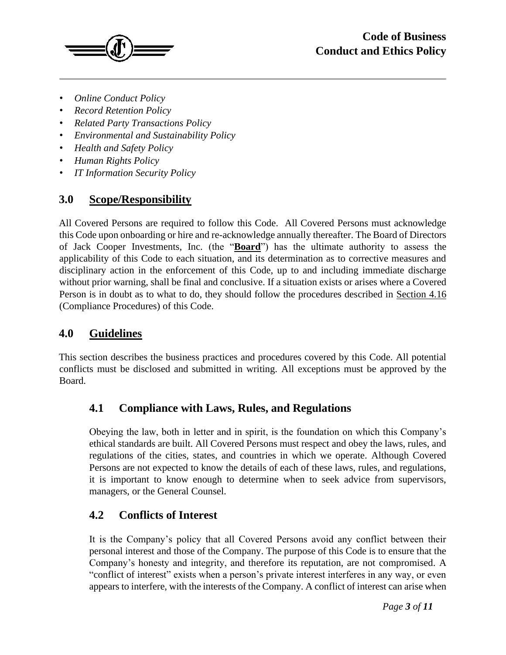

- *Online Conduct Policy*
- *Record Retention Policy*
- *Related Party Transactions Policy*
- *Environmental and Sustainability Policy*
- *Health and Safety Policy*
- *Human Rights Policy*
- *IT Information Security Policy*

# **3.0 Scope/Responsibility**

All Covered Persons are required to follow this Code. All Covered Persons must acknowledge this Code upon onboarding or hire and re-acknowledge annually thereafter. The Board of Directors of Jack Cooper Investments, Inc. (the "**Board**") has the ultimate authority to assess the applicability of this Code to each situation, and its determination as to corrective measures and disciplinary action in the enforcement of this Code, up to and including immediate discharge without prior warning, shall be final and conclusive. If a situation exists or arises where a Covered Person is in doubt as to what to do, they should follow the procedures described in Section 4.16 (Compliance Procedures) of this Code.

# **4.0 Guidelines**

This section describes the business practices and procedures covered by this Code. All potential conflicts must be disclosed and submitted in writing. All exceptions must be approved by the Board.

# **4.1 Compliance with Laws, Rules, and Regulations**

Obeying the law, both in letter and in spirit, is the foundation on which this Company's ethical standards are built. All Covered Persons must respect and obey the laws, rules, and regulations of the cities, states, and countries in which we operate. Although Covered Persons are not expected to know the details of each of these laws, rules, and regulations, it is important to know enough to determine when to seek advice from supervisors, managers, or the General Counsel.

# **4.2 Conflicts of Interest**

It is the Company's policy that all Covered Persons avoid any conflict between their personal interest and those of the Company. The purpose of this Code is to ensure that the Company's honesty and integrity, and therefore its reputation, are not compromised. A "conflict of interest" exists when a person's private interest interferes in any way, or even appears to interfere, with the interests of the Company. A conflict of interest can arise when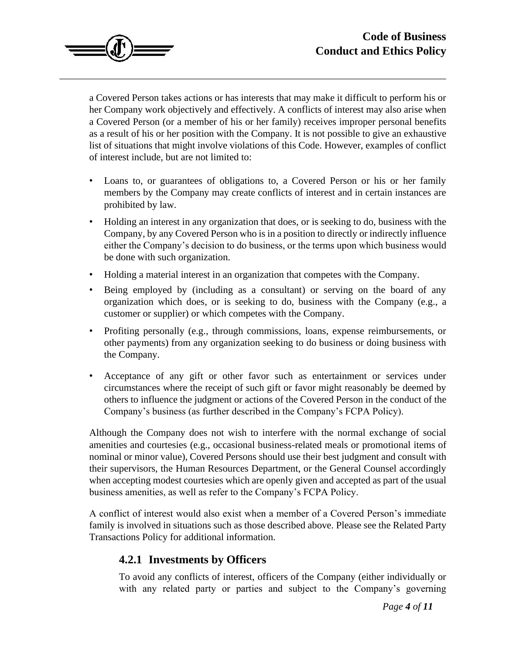

a Covered Person takes actions or has interests that may make it difficult to perform his or her Company work objectively and effectively. A conflicts of interest may also arise when a Covered Person (or a member of his or her family) receives improper personal benefits as a result of his or her position with the Company. It is not possible to give an exhaustive list of situations that might involve violations of this Code. However, examples of conflict of interest include, but are not limited to:

- Loans to, or guarantees of obligations to, a Covered Person or his or her family members by the Company may create conflicts of interest and in certain instances are prohibited by law.
- Holding an interest in any organization that does, or is seeking to do, business with the Company, by any Covered Person who is in a position to directly or indirectly influence either the Company's decision to do business, or the terms upon which business would be done with such organization.
- Holding a material interest in an organization that competes with the Company.
- Being employed by (including as a consultant) or serving on the board of any organization which does, or is seeking to do, business with the Company (e.g., a customer or supplier) or which competes with the Company.
- Profiting personally (e.g., through commissions, loans, expense reimbursements, or other payments) from any organization seeking to do business or doing business with the Company.
- Acceptance of any gift or other favor such as entertainment or services under circumstances where the receipt of such gift or favor might reasonably be deemed by others to influence the judgment or actions of the Covered Person in the conduct of the Company's business (as further described in the Company's FCPA Policy).

Although the Company does not wish to interfere with the normal exchange of social amenities and courtesies (e.g., occasional business-related meals or promotional items of nominal or minor value), Covered Persons should use their best judgment and consult with their supervisors, the Human Resources Department, or the General Counsel accordingly when accepting modest courtesies which are openly given and accepted as part of the usual business amenities, as well as refer to the Company's FCPA Policy.

A conflict of interest would also exist when a member of a Covered Person's immediate family is involved in situations such as those described above. Please see the Related Party Transactions Policy for additional information.

# **4.2.1 Investments by Officers**

To avoid any conflicts of interest, officers of the Company (either individually or with any related party or parties and subject to the Company's governing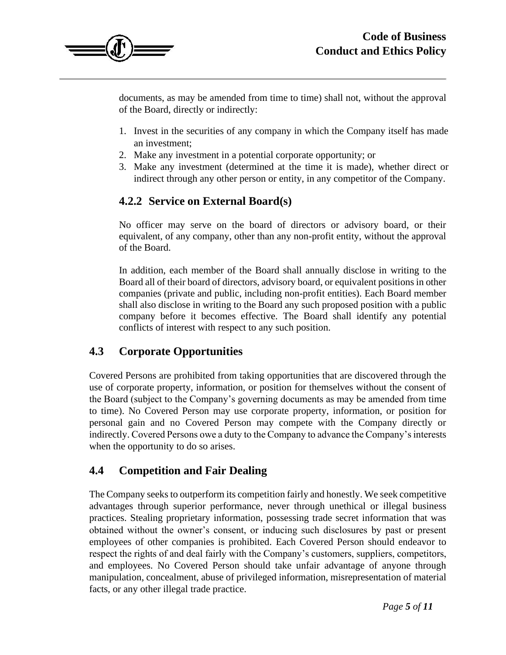

documents, as may be amended from time to time) shall not, without the approval of the Board, directly or indirectly:

- 1. Invest in the securities of any company in which the Company itself has made an investment;
- 2. Make any investment in a potential corporate opportunity; or
- 3. Make any investment (determined at the time it is made), whether direct or indirect through any other person or entity, in any competitor of the Company.

# **4.2.2 Service on External Board(s)**

No officer may serve on the board of directors or advisory board, or their equivalent, of any company, other than any non-profit entity, without the approval of the Board.

In addition, each member of the Board shall annually disclose in writing to the Board all of their board of directors, advisory board, or equivalent positions in other companies (private and public, including non-profit entities). Each Board member shall also disclose in writing to the Board any such proposed position with a public company before it becomes effective. The Board shall identify any potential conflicts of interest with respect to any such position.

# **4.3 Corporate Opportunities**

Covered Persons are prohibited from taking opportunities that are discovered through the use of corporate property, information, or position for themselves without the consent of the Board (subject to the Company's governing documents as may be amended from time to time). No Covered Person may use corporate property, information, or position for personal gain and no Covered Person may compete with the Company directly or indirectly. Covered Persons owe a duty to the Company to advance the Company's interests when the opportunity to do so arises.

# **4.4 Competition and Fair Dealing**

The Company seeks to outperform its competition fairly and honestly. We seek competitive advantages through superior performance, never through unethical or illegal business practices. Stealing proprietary information, possessing trade secret information that was obtained without the owner's consent, or inducing such disclosures by past or present employees of other companies is prohibited. Each Covered Person should endeavor to respect the rights of and deal fairly with the Company's customers, suppliers, competitors, and employees. No Covered Person should take unfair advantage of anyone through manipulation, concealment, abuse of privileged information, misrepresentation of material facts, or any other illegal trade practice.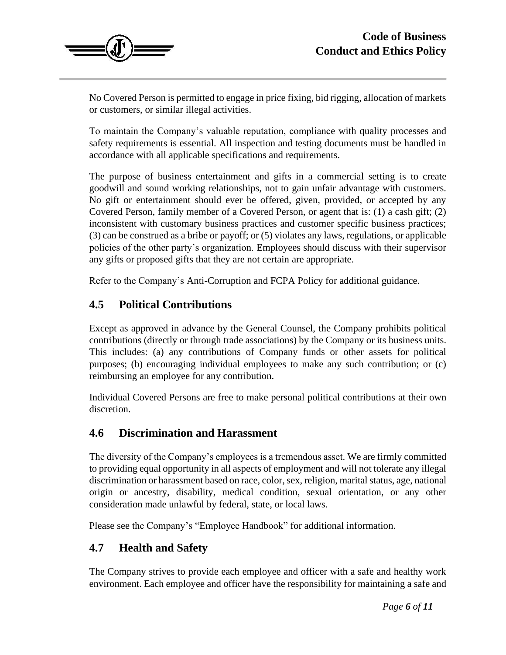

No Covered Person is permitted to engage in price fixing, bid rigging, allocation of markets or customers, or similar illegal activities.

To maintain the Company's valuable reputation, compliance with quality processes and safety requirements is essential. All inspection and testing documents must be handled in accordance with all applicable specifications and requirements.

The purpose of business entertainment and gifts in a commercial setting is to create goodwill and sound working relationships, not to gain unfair advantage with customers. No gift or entertainment should ever be offered, given, provided, or accepted by any Covered Person, family member of a Covered Person, or agent that is: (1) a cash gift; (2) inconsistent with customary business practices and customer specific business practices; (3) can be construed as a bribe or payoff; or (5) violates any laws, regulations, or applicable policies of the other party's organization. Employees should discuss with their supervisor any gifts or proposed gifts that they are not certain are appropriate.

Refer to the Company's Anti-Corruption and FCPA Policy for additional guidance.

#### **4.5 Political Contributions**

Except as approved in advance by the General Counsel, the Company prohibits political contributions (directly or through trade associations) by the Company or its business units. This includes: (a) any contributions of Company funds or other assets for political purposes; (b) encouraging individual employees to make any such contribution; or (c) reimbursing an employee for any contribution.

Individual Covered Persons are free to make personal political contributions at their own discretion.

#### **4.6 Discrimination and Harassment**

The diversity of the Company's employees is a tremendous asset. We are firmly committed to providing equal opportunity in all aspects of employment and will not tolerate any illegal discrimination or harassment based on race, color, sex, religion, marital status, age, national origin or ancestry, disability, medical condition, sexual orientation, or any other consideration made unlawful by federal, state, or local laws.

Please see the Company's "Employee Handbook" for additional information.

#### **4.7 Health and Safety**

The Company strives to provide each employee and officer with a safe and healthy work environment. Each employee and officer have the responsibility for maintaining a safe and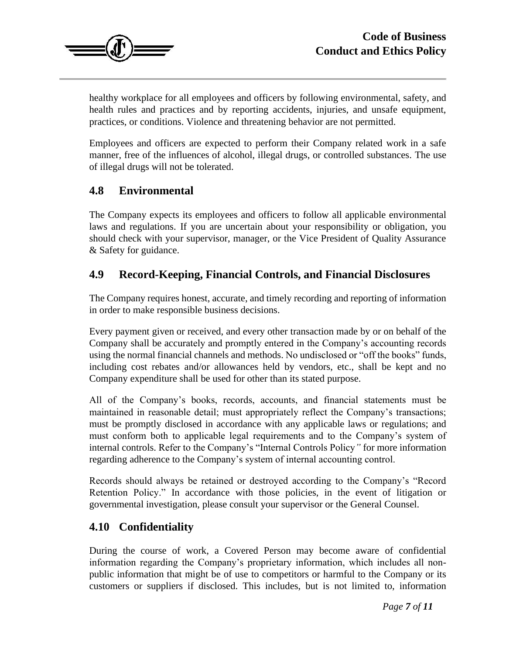

healthy workplace for all employees and officers by following environmental, safety, and health rules and practices and by reporting accidents, injuries, and unsafe equipment, practices, or conditions. Violence and threatening behavior are not permitted.

Employees and officers are expected to perform their Company related work in a safe manner, free of the influences of alcohol, illegal drugs, or controlled substances. The use of illegal drugs will not be tolerated.

# **4.8 Environmental**

The Company expects its employees and officers to follow all applicable environmental laws and regulations. If you are uncertain about your responsibility or obligation, you should check with your supervisor, manager, or the Vice President of Quality Assurance & Safety for guidance.

#### **4.9 Record-Keeping, Financial Controls, and Financial Disclosures**

The Company requires honest, accurate, and timely recording and reporting of information in order to make responsible business decisions.

Every payment given or received, and every other transaction made by or on behalf of the Company shall be accurately and promptly entered in the Company's accounting records using the normal financial channels and methods. No undisclosed or "off the books" funds, including cost rebates and/or allowances held by vendors, etc., shall be kept and no Company expenditure shall be used for other than its stated purpose.

All of the Company's books, records, accounts, and financial statements must be maintained in reasonable detail; must appropriately reflect the Company's transactions; must be promptly disclosed in accordance with any applicable laws or regulations; and must conform both to applicable legal requirements and to the Company's system of internal controls. Refer to the Company's "Internal Controls Policy*"* for more information regarding adherence to the Company's system of internal accounting control.

Records should always be retained or destroyed according to the Company's "Record Retention Policy." In accordance with those policies, in the event of litigation or governmental investigation, please consult your supervisor or the General Counsel.

# **4.10 Confidentiality**

During the course of work, a Covered Person may become aware of confidential information regarding the Company's proprietary information, which includes all nonpublic information that might be of use to competitors or harmful to the Company or its customers or suppliers if disclosed. This includes, but is not limited to, information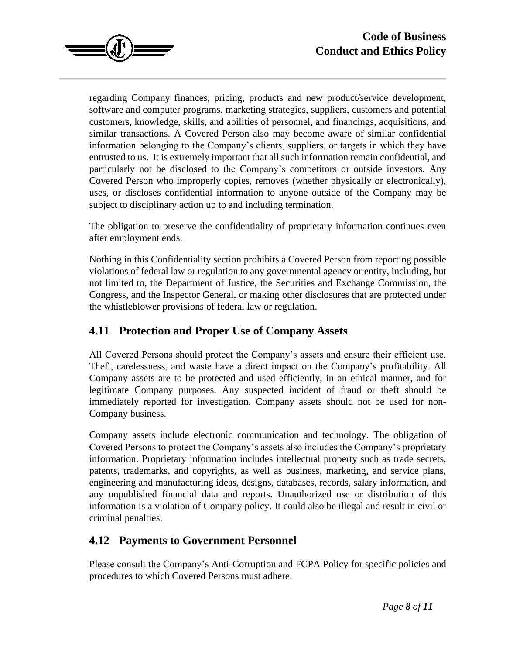

regarding Company finances, pricing, products and new product/service development, software and computer programs, marketing strategies, suppliers, customers and potential customers, knowledge, skills, and abilities of personnel, and financings, acquisitions, and similar transactions. A Covered Person also may become aware of similar confidential information belonging to the Company's clients, suppliers, or targets in which they have entrusted to us. It is extremely important that all such information remain confidential, and particularly not be disclosed to the Company's competitors or outside investors. Any Covered Person who improperly copies, removes (whether physically or electronically), uses, or discloses confidential information to anyone outside of the Company may be subject to disciplinary action up to and including termination.

The obligation to preserve the confidentiality of proprietary information continues even after employment ends.

Nothing in this Confidentiality section prohibits a Covered Person from reporting possible violations of federal law or regulation to any governmental agency or entity, including, but not limited to, the Department of Justice, the Securities and Exchange Commission, the Congress, and the Inspector General, or making other disclosures that are protected under the whistleblower provisions of federal law or regulation.

# **4.11 Protection and Proper Use of Company Assets**

All Covered Persons should protect the Company's assets and ensure their efficient use. Theft, carelessness, and waste have a direct impact on the Company's profitability. All Company assets are to be protected and used efficiently, in an ethical manner, and for legitimate Company purposes. Any suspected incident of fraud or theft should be immediately reported for investigation. Company assets should not be used for non-Company business.

Company assets include electronic communication and technology. The obligation of Covered Persons to protect the Company's assets also includes the Company's proprietary information. Proprietary information includes intellectual property such as trade secrets, patents, trademarks, and copyrights, as well as business, marketing, and service plans, engineering and manufacturing ideas, designs, databases, records, salary information, and any unpublished financial data and reports. Unauthorized use or distribution of this information is a violation of Company policy. It could also be illegal and result in civil or criminal penalties.

# **4.12 Payments to Government Personnel**

Please consult the Company's Anti-Corruption and FCPA Policy for specific policies and procedures to which Covered Persons must adhere.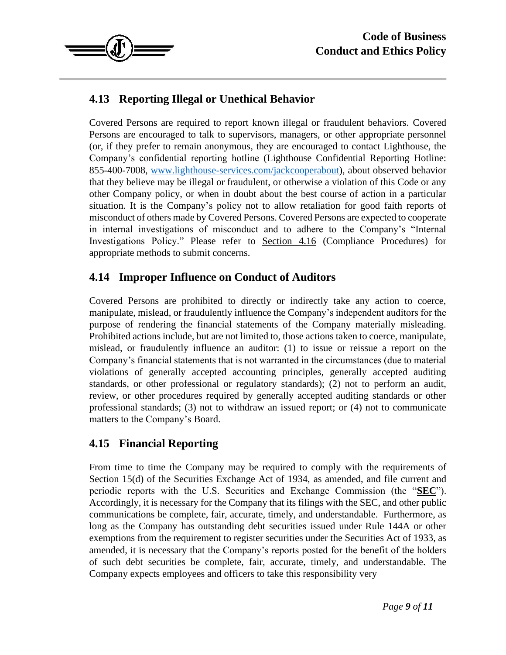

# **4.13 Reporting Illegal or Unethical Behavior**

Covered Persons are required to report known illegal or fraudulent behaviors. Covered Persons are encouraged to talk to supervisors, managers, or other appropriate personnel (or, if they prefer to remain anonymous, they are encouraged to contact Lighthouse, the Company's confidential reporting hotline (Lighthouse Confidential Reporting Hotline: 855-400-7008, [www.lighthouse-services.com/jackcooperabout\)](http://www.lighthouse-services.com/jackcooperabout), about observed behavior that they believe may be illegal or fraudulent, or otherwise a violation of this Code or any other Company policy, or when in doubt about the best course of action in a particular situation. It is the Company's policy not to allow retaliation for good faith reports of misconduct of others made by Covered Persons. Covered Persons are expected to cooperate in internal investigations of misconduct and to adhere to the Company's "Internal Investigations Policy." Please refer to Section 4.16 (Compliance Procedures) for appropriate methods to submit concerns.

#### **4.14 Improper Influence on Conduct of Auditors**

Covered Persons are prohibited to directly or indirectly take any action to coerce, manipulate, mislead, or fraudulently influence the Company's independent auditors for the purpose of rendering the financial statements of the Company materially misleading. Prohibited actions include, but are not limited to, those actions taken to coerce, manipulate, mislead, or fraudulently influence an auditor: (1) to issue or reissue a report on the Company's financial statements that is not warranted in the circumstances (due to material violations of generally accepted accounting principles, generally accepted auditing standards, or other professional or regulatory standards); (2) not to perform an audit, review, or other procedures required by generally accepted auditing standards or other professional standards; (3) not to withdraw an issued report; or (4) not to communicate matters to the Company's Board.

# **4.15 Financial Reporting**

From time to time the Company may be required to comply with the requirements of Section 15(d) of the Securities Exchange Act of 1934, as amended, and file current and periodic reports with the U.S. Securities and Exchange Commission (the "**SEC**"). Accordingly, it is necessary for the Company that its filings with the SEC, and other public communications be complete, fair, accurate, timely, and understandable. Furthermore, as long as the Company has outstanding debt securities issued under Rule 144A or other exemptions from the requirement to register securities under the Securities Act of 1933, as amended, it is necessary that the Company's reports posted for the benefit of the holders of such debt securities be complete, fair, accurate, timely, and understandable. The Company expects employees and officers to take this responsibility very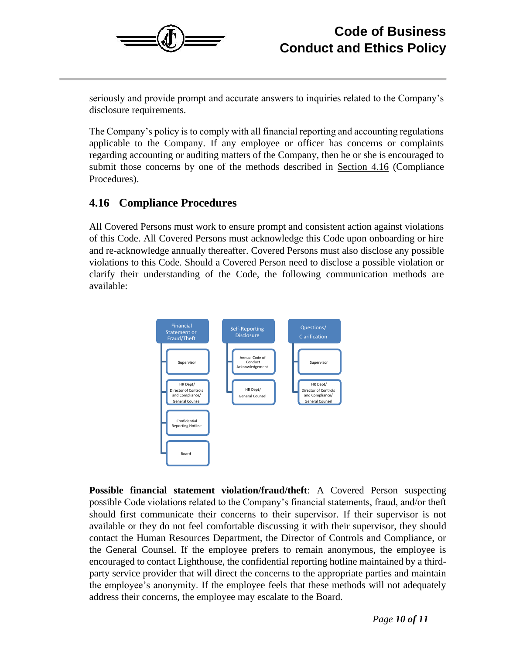

seriously and provide prompt and accurate answers to inquiries related to the Company's disclosure requirements.

The Company's policy is to comply with all financial reporting and accounting regulations applicable to the Company. If any employee or officer has concerns or complaints regarding accounting or auditing matters of the Company, then he or she is encouraged to submit those concerns by one of the methods described in Section 4.16 (Compliance Procedures).

# **4.16 Compliance Procedures**

All Covered Persons must work to ensure prompt and consistent action against violations of this Code. All Covered Persons must acknowledge this Code upon onboarding or hire and re-acknowledge annually thereafter. Covered Persons must also disclose any possible violations to this Code. Should a Covered Person need to disclose a possible violation or clarify their understanding of the Code, the following communication methods are available:



**Possible financial statement violation/fraud/theft**: A Covered Person suspecting possible Code violations related to the Company's financial statements, fraud, and/or theft should first communicate their concerns to their supervisor. If their supervisor is not available or they do not feel comfortable discussing it with their supervisor, they should contact the Human Resources Department, the Director of Controls and Compliance, or the General Counsel. If the employee prefers to remain anonymous, the employee is encouraged to contact Lighthouse, the confidential reporting hotline maintained by a thirdparty service provider that will direct the concerns to the appropriate parties and maintain the employee's anonymity. If the employee feels that these methods will not adequately address their concerns, the employee may escalate to the Board.